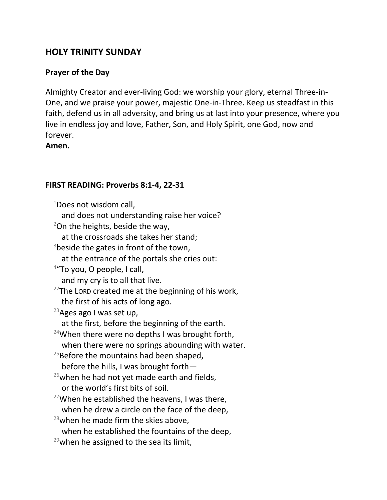# **HOLY TRINITY SUNDAY**

# **Prayer of the Day**

Almighty Creator and ever-living God: we worship your glory, eternal Three-in-One, and we praise your power, majestic One-in-Three. Keep us steadfast in this faith, defend us in all adversity, and bring us at last into your presence, where you live in endless joy and love, Father, Son, and Holy Spirit, one God, now and forever.

**Amen.**

## **FIRST READING: Proverbs 8:1-4, 22-31**

 $1$ Does not wisdom call,

and does not understanding raise her voice?

 $2$ On the heights, beside the way,

at the crossroads she takes her stand;

 $3$ beside the gates in front of the town,

at the entrance of the portals she cries out:

<sup>4</sup>"To you, O people, I call,

and my cry is to all that live.

 $22$ The LORD created me at the beginning of his work, the first of his acts of long ago.

 $23$ Ages ago I was set up,

at the first, before the beginning of the earth.

<sup>24</sup>When there were no depths I was brought forth, when there were no springs abounding with water.

 $25$ Before the mountains had been shaped, before the hills, I was brought forth—

- $26$ when he had not yet made earth and fields, or the world's first bits of soil.
- <sup>27</sup>When he established the heavens, I was there, when he drew a circle on the face of the deep,
- $28$ when he made firm the skies above.
	- when he established the fountains of the deep,
- $29$ when he assigned to the sea its limit,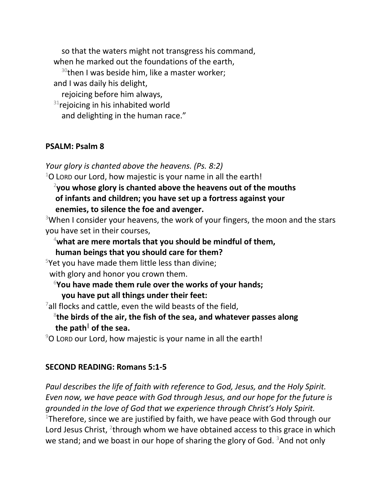so that the waters might not transgress his command, when he marked out the foundations of the earth,  $30$ then I was beside him, like a master worker; and I was daily his delight, rejoicing before him always,  $31$ rejoicing in his inhabited world and delighting in the human race."

#### **PSALM: Psalm 8**

*Your glory is chanted above the heavens. (Ps. 8:2)*

 $1$ O Lorp our Lord, how majestic is your name in all the earth!

### 2 **you whose glory is chanted above the heavens out of the mouths of infants and children; you have set up a fortress against your enemies, to silence the foe and avenger.**

<sup>3</sup>When I consider your heavens, the work of your fingers, the moon and the stars you have set in their courses,

## <sup>4</sup>**what are mere mortals that you should be mindful of them,**

**human beings that you should care for them?**

 $5$ Yet you have made them little less than divine;

with glory and honor you crown them.

<sup>6</sup>**You have made them rule over the works of your hands; you have put all things under their feet:**

 $7$ all flocks and cattle, even the wild beasts of the field,

# 8 **the birds of the air, the fish of the sea, and whatever passes along the path<sup>|</sup> of the sea.**

 $90$  LORD our Lord, how majestic is your name in all the earth!

#### **SECOND READING: Romans 5:1-5**

*Paul describes the life of faith with reference to God, Jesus, and the Holy Spirit. Even now, we have peace with God through Jesus, and our hope for the future is grounded in the love of God that we experience through Christ's Holy Spirit.* <sup>1</sup>Therefore, since we are justified by faith, we have peace with God through our Lord Jesus Christ,  $2$ through whom we have obtained access to this grace in which we stand; and we boast in our hope of sharing the glory of God.  $3$ And not only